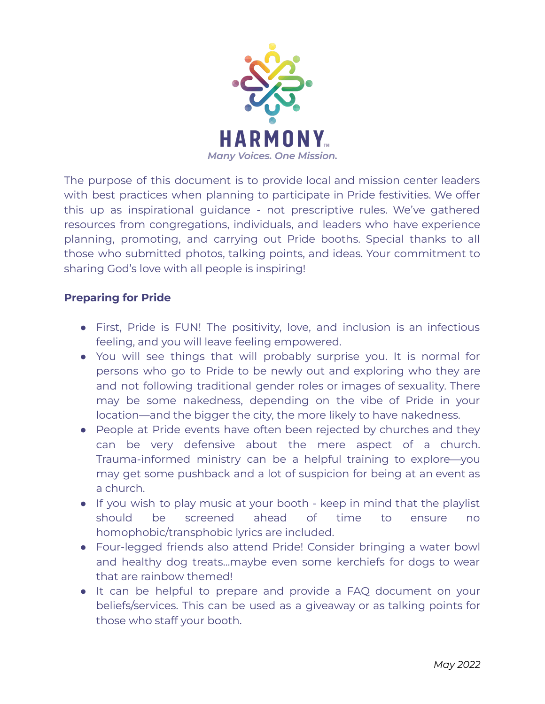

The purpose of this document is to provide local and mission center leaders with best practices when planning to participate in Pride festivities. We offer this up as inspirational guidance - not prescriptive rules. We've gathered resources from congregations, individuals, and leaders who have experience planning, promoting, and carrying out Pride booths. Special thanks to all those who submitted photos, talking points, and ideas. Your commitment to sharing God's love with all people is inspiring!

## **Preparing for Pride**

- First, Pride is FUN! The positivity, love, and inclusion is an infectious feeling, and you will leave feeling empowered.
- You will see things that will probably surprise you. It is normal for persons who go to Pride to be newly out and exploring who they are and not following traditional gender roles or images of sexuality. There may be some nakedness, depending on the vibe of Pride in your location—and the bigger the city, the more likely to have nakedness.
- People at Pride events have often been rejected by churches and they can be very defensive about the mere aspect of a church. Trauma-informed ministry can be a helpful training to explore—you may get some pushback and a lot of suspicion for being at an event as a church.
- If you wish to play music at your booth keep in mind that the playlist should be screened ahead of time to ensure no homophobic/transphobic lyrics are included.
- Four-legged friends also attend Pride! Consider bringing a water bowl and healthy dog treats…maybe even some kerchiefs for dogs to wear that are rainbow themed!
- It can be helpful to prepare and provide a FAQ document on your beliefs/services. This can be used as a giveaway or as talking points for those who staff your booth.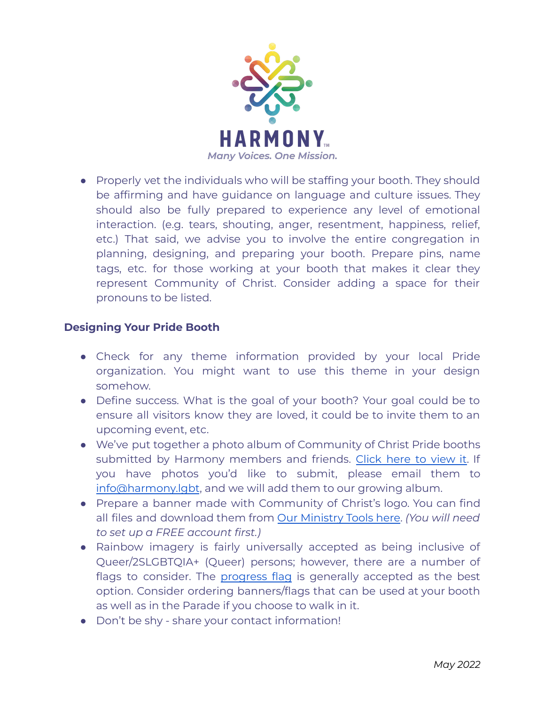

● Properly vet the individuals who will be staffing your booth. They should be affirming and have guidance on language and culture issues. They should also be fully prepared to experience any level of emotional interaction. (e.g. tears, shouting, anger, resentment, happiness, relief, etc.) That said, we advise you to involve the entire congregation in planning, designing, and preparing your booth. Prepare pins, name tags, etc. for those working at your booth that makes it clear they represent Community of Christ. Consider adding a space for their pronouns to be listed.

## **Designing Your Pride Booth**

- Check for any theme information provided by your local Pride organization. You might want to use this theme in your design somehow.
- Define success. What is the goal of your booth? Your goal could be to ensure all visitors know they are loved, it could be to invite them to an upcoming event, etc.
- We've put together a photo album of Community of Christ Pride booths submitted by Harmony members and friends. [Click](https://www.harmony.lgbt/pride-resources.html) here to view it. If you have photos you'd like to submit, please email them to [info@harmony.lgbt](mailto:info@harmony.lgbt), and we will add them to our growing album.
- Prepare a banner made with Community of Christ's logo. You can find all files and download them from Our [Ministry](https://cofchristihq.sharepoint.com/sites/LogosandIcons) Tools here. *(You will need to set up a FREE account first.)*
- Rainbow imagery is fairly universally accepted as being inclusive of Queer/2SLGBTQIA+ (Queer) persons; however, there are a number of flags to consider. The [progress](https://upload.wikimedia.org/wikipedia/commons/thumb/f/fd/LGBTQ%2B_rainbow_flag_Quasar_%22Progress%22_variant.svg/2560px-LGBTQ%2B_rainbow_flag_Quasar_%22Progress%22_variant.svg.png) flag is generally accepted as the best option. Consider ordering banners/flags that can be used at your booth as well as in the Parade if you choose to walk in it.
- Don't be shy share your contact information!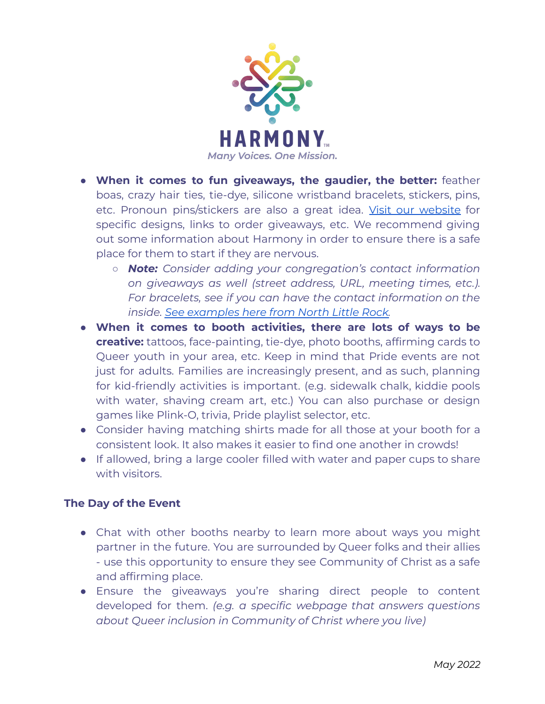

- **When it comes to fun giveaways, the gaudier, the better:** feather boas, crazy hair ties, tie-dye, silicone wristband bracelets, stickers, pins, etc. Pronoun pins/stickers are also a great idea. Visit our [website](https://www.harmony.lgbt/pride-resources.html) for specific designs, links to order giveaways, etc. We recommend giving out some information about Harmony in order to ensure there is a safe place for them to start if they are nervous.
	- *○ Note: Consider adding your congregation's contact information on giveaways as well (street address, URL, meeting times, etc.). For bracelets, see if you can have the contact information on the inside. See [examples](https://drive.google.com/drive/folders/1zVpO7dF6c0TC_SDTzXW6eaWGEEXl5wAj?usp=sharing) here from North Little Rock.*
- **When it comes to booth activities, there are lots of ways to be creative:** tattoos, face-painting, tie-dye, photo booths, affirming cards to Queer youth in your area, etc. Keep in mind that Pride events are not just for adults. Families are increasingly present, and as such, planning for kid-friendly activities is important. (e.g. sidewalk chalk, kiddie pools with water, shaving cream art, etc.) You can also purchase or design games like Plink-O, trivia, Pride playlist selector, etc.
- Consider having matching shirts made for all those at your booth for a consistent look. It also makes it easier to find one another in crowds!
- If allowed, bring a large cooler filled with water and paper cups to share with visitors.

## **The Day of the Event**

- Chat with other booths nearby to learn more about ways you might partner in the future. You are surrounded by Queer folks and their allies - use this opportunity to ensure they see Community of Christ as a safe and affirming place.
- Ensure the giveaways you're sharing direct people to content developed for them. *(e.g. a specific webpage that answers questions about Queer inclusion in Community of Christ where you live)*